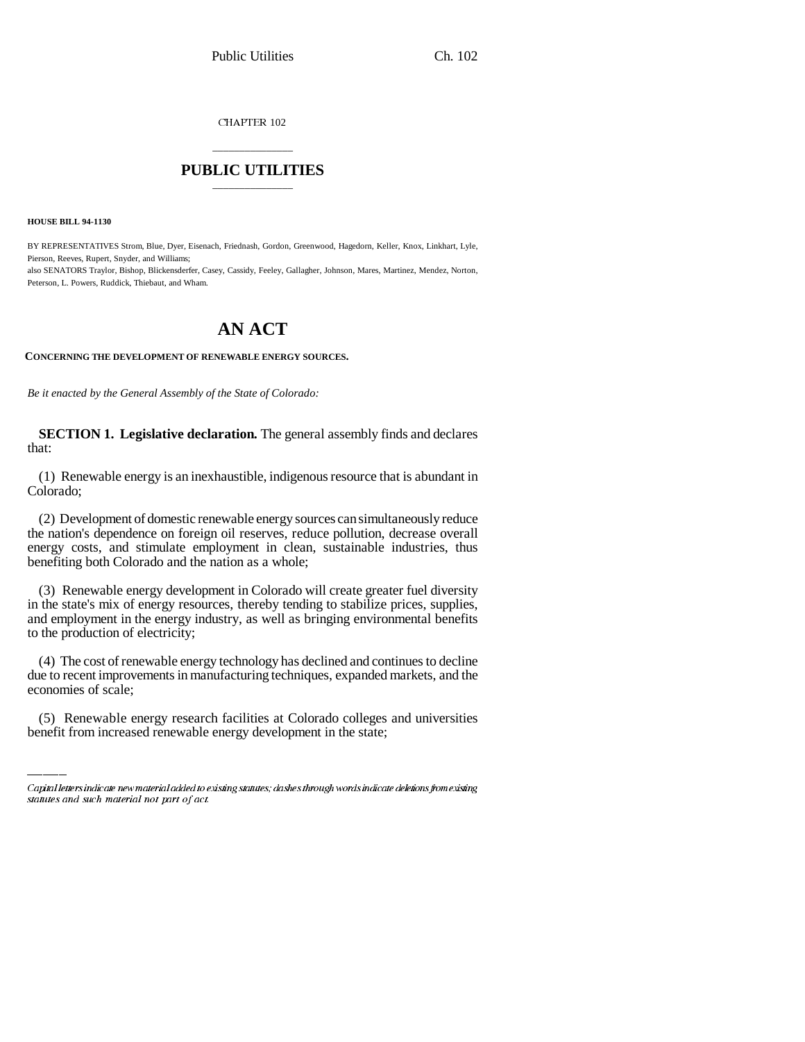CHAPTER 102

## \_\_\_\_\_\_\_\_\_\_\_\_\_\_\_ **PUBLIC UTILITIES** \_\_\_\_\_\_\_\_\_\_\_\_\_\_\_

**HOUSE BILL 94-1130**

BY REPRESENTATIVES Strom, Blue, Dyer, Eisenach, Friednash, Gordon, Greenwood, Hagedorn, Keller, Knox, Linkhart, Lyle, Pierson, Reeves, Rupert, Snyder, and Williams; also SENATORS Traylor, Bishop, Blickensderfer, Casey, Cassidy, Feeley, Gallagher, Johnson, Mares, Martinez, Mendez, Norton, Peterson, L. Powers, Ruddick, Thiebaut, and Wham.

## **AN ACT**

**CONCERNING THE DEVELOPMENT OF RENEWABLE ENERGY SOURCES.**

*Be it enacted by the General Assembly of the State of Colorado:*

**SECTION 1. Legislative declaration.** The general assembly finds and declares that:

(1) Renewable energy is an inexhaustible, indigenous resource that is abundant in Colorado;

(2) Development of domestic renewable energy sources can simultaneously reduce the nation's dependence on foreign oil reserves, reduce pollution, decrease overall energy costs, and stimulate employment in clean, sustainable industries, thus benefiting both Colorado and the nation as a whole;

(3) Renewable energy development in Colorado will create greater fuel diversity in the state's mix of energy resources, thereby tending to stabilize prices, supplies, and employment in the energy industry, as well as bringing environmental benefits to the production of electricity;

due to recent improvements in manufacturing techniques, expanded markets, and the (4) The cost of renewable energy technology has declined and continues to decline economies of scale;

(5) Renewable energy research facilities at Colorado colleges and universities benefit from increased renewable energy development in the state;

Capital letters indicate new material added to existing statutes; dashes through words indicate deletions from existing statutes and such material not part of act.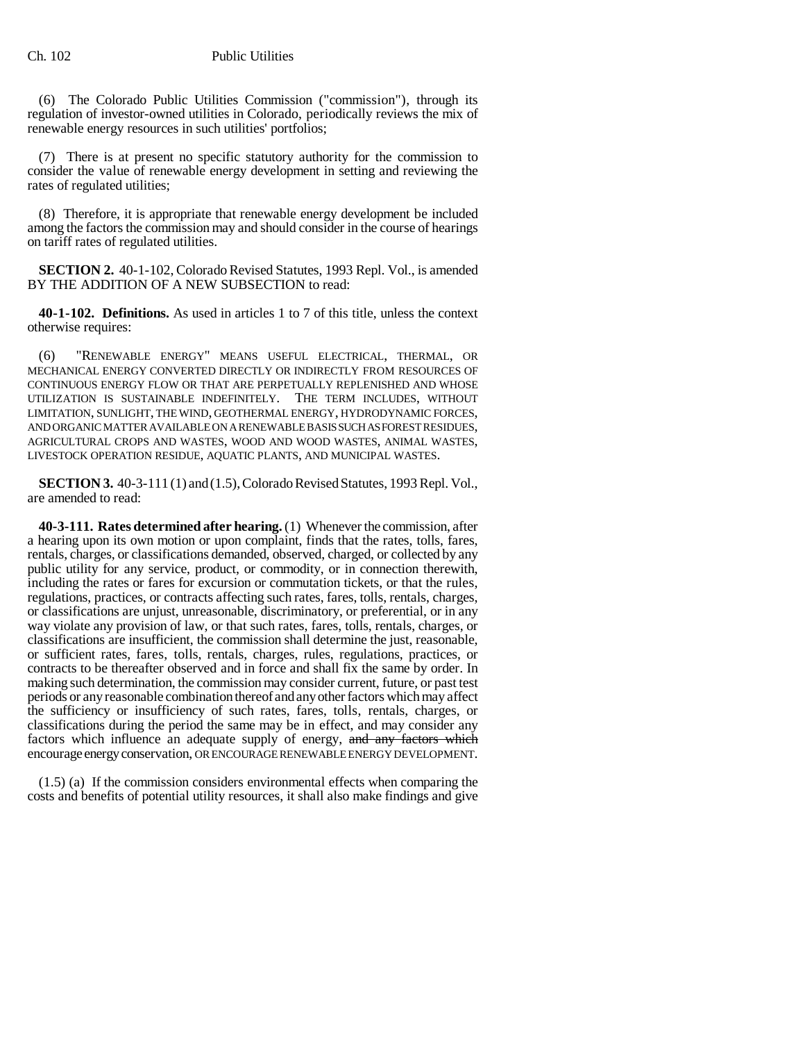(6) The Colorado Public Utilities Commission ("commission"), through its regulation of investor-owned utilities in Colorado, periodically reviews the mix of renewable energy resources in such utilities' portfolios;

(7) There is at present no specific statutory authority for the commission to consider the value of renewable energy development in setting and reviewing the rates of regulated utilities;

(8) Therefore, it is appropriate that renewable energy development be included among the factors the commission may and should consider in the course of hearings on tariff rates of regulated utilities.

**SECTION 2.** 40-1-102, Colorado Revised Statutes, 1993 Repl. Vol., is amended BY THE ADDITION OF A NEW SUBSECTION to read:

**40-1-102. Definitions.** As used in articles 1 to 7 of this title, unless the context otherwise requires:

(6) "RENEWABLE ENERGY" MEANS USEFUL ELECTRICAL, THERMAL, OR MECHANICAL ENERGY CONVERTED DIRECTLY OR INDIRECTLY FROM RESOURCES OF CONTINUOUS ENERGY FLOW OR THAT ARE PERPETUALLY REPLENISHED AND WHOSE UTILIZATION IS SUSTAINABLE INDEFINITELY. THE TERM INCLUDES, WITHOUT LIMITATION, SUNLIGHT, THE WIND, GEOTHERMAL ENERGY, HYDRODYNAMIC FORCES, AND ORGANIC MATTER AVAILABLE ON A RENEWABLE BASIS SUCH AS FOREST RESIDUES, AGRICULTURAL CROPS AND WASTES, WOOD AND WOOD WASTES, ANIMAL WASTES, LIVESTOCK OPERATION RESIDUE, AQUATIC PLANTS, AND MUNICIPAL WASTES.

**SECTION 3.** 40-3-111 (1) and (1.5), Colorado Revised Statutes, 1993 Repl. Vol., are amended to read:

**40-3-111. Rates determined after hearing.** (1) Whenever the commission, after a hearing upon its own motion or upon complaint, finds that the rates, tolls, fares, rentals, charges, or classifications demanded, observed, charged, or collected by any public utility for any service, product, or commodity, or in connection therewith, including the rates or fares for excursion or commutation tickets, or that the rules, regulations, practices, or contracts affecting such rates, fares, tolls, rentals, charges, or classifications are unjust, unreasonable, discriminatory, or preferential, or in any way violate any provision of law, or that such rates, fares, tolls, rentals, charges, or classifications are insufficient, the commission shall determine the just, reasonable, or sufficient rates, fares, tolls, rentals, charges, rules, regulations, practices, or contracts to be thereafter observed and in force and shall fix the same by order. In making such determination, the commission may consider current, future, or past test periods or any reasonable combination thereof and any other factors which may affect the sufficiency or insufficiency of such rates, fares, tolls, rentals, charges, or classifications during the period the same may be in effect, and may consider any factors which influence an adequate supply of energy, and any factors which encourage energy conservation, OR ENCOURAGE RENEWABLE ENERGY DEVELOPMENT.

(1.5) (a) If the commission considers environmental effects when comparing the costs and benefits of potential utility resources, it shall also make findings and give